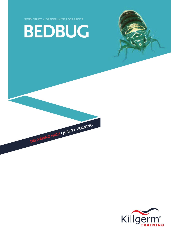



DELIVERING HIGH QUALITY TRAINING

**WORK STUDY › OPPORTUNITIES FOR PROFIT**

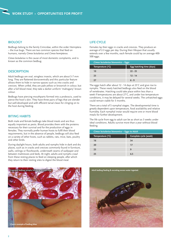## **BIOLOGY**

Bedbugs belong to the family Cimicidae, within the order Hemiptera – the true bugs. There are two common species that feed on humans, namely *Cimex lectularius* and *Cimex hemipterus*.

*Cimex lectularius* is the cause of most domestic complaints, and is known as the common bedbug.

## **DESCRIPTION**

Adult bedbugs are oval, wingless insects, which are about 5-7 mm long. They are flattened dorsoventrally and this particular feature allows them to hide in narrow spaces such as into cracks and crevices. When unfed, they are pale yellow or brownish in colour, but after a full blood meal, they take a darker uniform 'mahogany' brown colour.

Bedbugs have piercing mouthparts formed into a proboscis, used to pierce the host's skin. They have three pairs of legs that are slender but well-developed and with efficient tarsal claws for clinging on to the host during feeding.

#### **BITING HABITS**

Both male and female bedbugs take blood meals and are thus equally important as pests. Blood provides them with the proteins necessary for their survival and for the production of eggs in females. They normally prefer human hosts to fulfil their blood requirements, but in the absence of people, bedbugs will also feed on a variety of other hosts, such as rabbits, rats, mice, bats, poultry and other birds.

During daylight hours, both adults and nymphs hide in dark and dry places, such as in cracks and crevices commonly found in furniture, walls, ceilings or floorboards, underneath seams of wallpaper and between mattresses and beds. At night, adults and nymphs crawl from these resting places to feed on sleeping people, after which they return to their resting sites to digest the blood meal.



#### **LIFE CYCLE**

Females lay their eggs in cracks and crevices. They produce an average of 2-3 eggs per day. During their lifespan that usually extends over a few months, each female could lay on average 400- 500 eggs.

| Cimex lectularius bionomics – Eggs |                          |
|------------------------------------|--------------------------|
| Temperature (°C)                   | Egg hatching time (days) |
| 10                                 | $22 - 25$                |
| 23                                 | $12 - 14$                |
| 77                                 | $6 - 9$                  |

The eggs hatch after about 12 - 14 days at 23˚C and give rise to nymphs. These newly hatched bedbugs also feed on the blood of vertebrates. Hatching could take place within less than a week if temperatures are about 27˚C, and under low temperature conditions, it may be delayed for several weeks. The unhatched eggs could remain viable for 3 months.

There are a total of 5 nymphal stages. The developmental time is greatly dependent upon temperature, food availability and relative humidity. Each nymphal instar would require one or more blood meals for further development.

The life cycle from egg to adult can be as short as 3 weeks under ideal conditions. Adults survive more than a year without blood feeding.

| Cimex lectularius bionomics - Eggs to Adult |                       |
|---------------------------------------------|-----------------------|
| Temperature (°C)                            | Complete cycle (week) |
| 16                                          | 34                    |
| 20                                          | 17                    |
| 23                                          | q                     |
| つら                                          | 6.5                   |

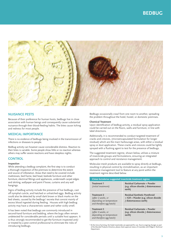

## **NUISANCE PESTS**

Because of their preference for human hosts, bedbugs live in close association with human beings and consequently cause substantial nuisance through their blood-feeding habits. The bites cause itching and redness for most people.

# **MEDICAL IMPORTANCE**

There is no evidence of bedbugs being involved in the transmission of infections or diseases to people.

Bedbug activity can however cause considerable distress. Reaction to their bites is variable. Some people show little or no reaction whereas others may suffer severe reactions and have sleepless nights.

## **CONTROL**

#### **Inspection**

While attending a bedbug complaint, the first step is to conduct a thorough inspection of the premises to determine the extent and source of infestation. Areas that need to be covered include mattresses, bed frame, bed head, bedside furniture and other furniture, electrical fittings and appliances, underneath carpet edges and skirting, wallpaper and paint if loose, curtains and any wall hangings.

Signs of bedbug activity include the presence of live bedbugs, cast off nymphal cuticle, and hatched or unhatched eggs. Bedbug activity could also be detected by small dark brown or black marks on the bed sheets, caused by the bedbugs' excreta that consist mainly of excess blood ingested during feeding. Houses with high bedbug activity may have a characteristic sweet and rather sickly smell.

It has been noted that bedbugs are commonly introduced in second-hand furniture and bedding, where the bugs often remain undetected for considerable periods until a suitable host appears. It is thus strongly recommended to get the furniture inspected and/ or treated by a pest control professional to eliminate the risks of introducing bedbugs.

Bedbugs occasionally crawl from one room to another, spreading the problem throughout the hotel, hostel, or domestic premises.

#### **Chemical Treatment**

Upon identification of bedbug activity, a residual spray application could be carried out on the floors, walls and furniture, in line with label directions.

Additionally, it is recommended to conduct targeted treatment of cracks and crevices, (microencapsulated formulation for longer residual) which are the main harbourage areas, with either a residual spray or dust application. These cracks and crevices could be lightly sprayed with a flushing agent to test for the presence of bedbugs.

The suggested treatment regime, shown below, utilises a mixture of insecticide groups and formulations, ensuring an integrated approach to control and resistance management.

Molecular-mesh products are available to spray directly at bedbugs, resulting in physical control by immobilisation, as an important resistance management tool to feature at any point within the treatment regime described below.

| Cimex lectularius suggested insecticide treatment regime                                         |                                                                                                       |
|--------------------------------------------------------------------------------------------------|-------------------------------------------------------------------------------------------------------|
| <b>Treatment 1</b><br>(initial treatment)                                                        | Residual Carbamate + Powder<br>(e.g. silicon dioxide / diatomaceous<br>earth)                         |
| <b>Treatment 2</b><br>(after 2 weeks, or<br>depending on temperature<br>and therefore egg hatch) | <b>Residual Synthetic Pyrethroid</b><br>+ IGR + Powder (e.g. silicon dioxide<br>/ diatomaceous earth) |
| Treatment 3<br>(after 4 weeks, or<br>depending on temperature<br>and therefore egg hatch)        | Residual Carbamate + Powder<br>(e.g. silicon dioxide / diatomaceous<br>earth)                         |

At the time of printing, the listed insecticides are approved for use. Due to ongoing changes as part of the Biocidal Products Directive, please check approval status of insectides with Killgerm Technical Department.